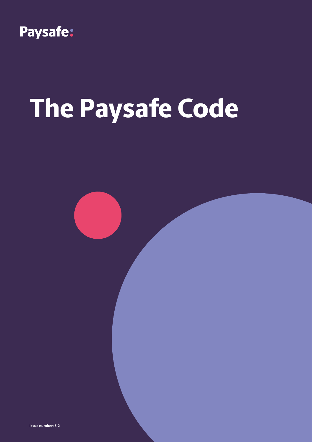

# **The Paysafe Code**



**Issue number: 3.2**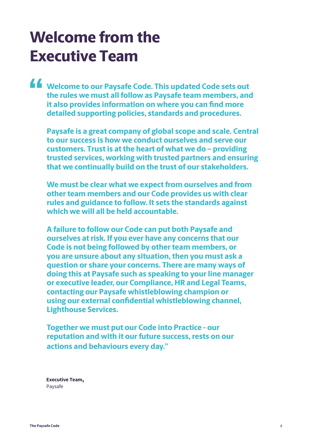### **Welcome from the Executive Team**

**Welcome to our Paysafe Code. This updated Code sets out the rules we must all follow as Paysafe team members, and it also provides information on where you can find more detailed supporting policies, standards and procedures.**

**Paysafe is a great company of global scope and scale. Central to our success is how we conduct ourselves and serve our customers. Trust is at the heart of what we do – providing trusted services, working with trusted partners and ensuring that we continually build on the trust of our stakeholders.**

**We must be clear what we expect from ourselves and from other team members and our Code provides us with clear rules and guidance to follow. It sets the standards against which we will all be held accountable.** 

**A failure to follow our Code can put both Paysafe and ourselves at risk. If you ever have any concerns that our Code is not being followed by other team members, or you are unsure about any situation, then you must ask a question or share your concerns. There are many ways of doing this at Paysafe such as speaking to your line manager or executive leader, our Compliance, HR and Legal Teams, contacting our Paysafe whistleblowing champion or using our external confidential whistleblowing channel, Lighthouse Services.**

**Together we must put our Code into Practice - our reputation and with it our future success, rests on our actions and behaviours every day."**

**Executive Team,** Paysafe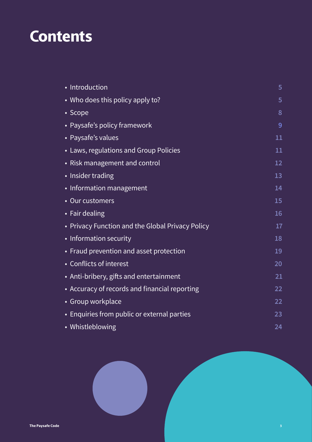### **Contents**

| • Introduction                                   | 5  |
|--------------------------------------------------|----|
| • Who does this policy apply to?                 | 5  |
| • Scope                                          | 8  |
| • Paysafe's policy framework                     | 9  |
| • Paysafe's values                               | 11 |
| • Laws, regulations and Group Policies           | 11 |
| • Risk management and control                    | 12 |
| • Insider trading                                | 13 |
| • Information management                         | 14 |
| • Our customers                                  | 15 |
| • Fair dealing                                   | 16 |
| • Privacy Function and the Global Privacy Policy | 17 |
| • Information security                           | 18 |
| • Fraud prevention and asset protection          | 19 |
| • Conflicts of interest                          | 20 |
| • Anti-bribery, gifts and entertainment          | 21 |
| • Accuracy of records and financial reporting    | 22 |
| • Group workplace                                | 22 |
| • Enquiries from public or external parties      | 23 |
| • Whistleblowing                                 | 24 |

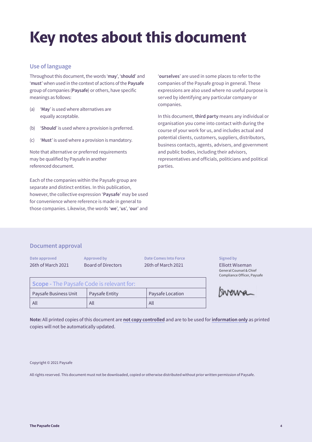### **Key notes about this document**

#### **Use of language**

Throughout this document, the words '**may**', '**should**' and '**must**' when used in the context of actions of the **Paysafe** group of companies (**Paysafe**) or others, have specific meanings as follows:

- (a) '**May**' is used where alternatives are equally acceptable.
- (b) '**Should**' is used where a provision is preferred.
- (c) '**Must**' is used where a provision is mandatory.

Note that alternative or preferred requirements may be qualified by Paysafe in another referenced document.

Each of the companies within the Paysafe group are separate and distinct entities. In this publication, however, the collective expression '**Paysafe**' may be used for convenience where reference is made in general to those companies. Likewise, the words '**we**', '**us**', '**our**' and

'**ourselves**' are used in some places to refer to the companies of the Paysafe group in general. These expressions are also used where no useful purpose is served by identifying any particular company or companies.

In this document, **third party** means any individual or organisation you come into contact with during the course of your work for us, and includes actual and potential clients, customers, suppliers, distributors, business contacts, agents, advisers, and government and public bodies, including their advisors, representatives and officials, politicians and political parties.

#### **Document approval**

**Date approved** 26th of March 2021 **Approved by** Board of Directors

**Date Comes Into Force** 26th of March 2021

#### **Signed by**

Elliott Wiseman General Counsel & Chief Compliance Officer, Paysafe

|  | Bivenna |
|--|---------|
|  |         |

| Scope - The Paysafe Code is relevant for: |                       |                  |  |  |
|-------------------------------------------|-----------------------|------------------|--|--|
| Paysafe Business Unit                     | <b>Paysafe Entity</b> | Paysafe Location |  |  |
| All                                       | All                   | All              |  |  |

**Note:** All printed copies of this document are **not copy controlled** and are to be used for **information only** as printed copies will not be automatically updated.

Copyright © 2021 Paysafe

All rights reserved. This document must not be downloaded, copied or otherwise distributed without prior written permission of Paysafe.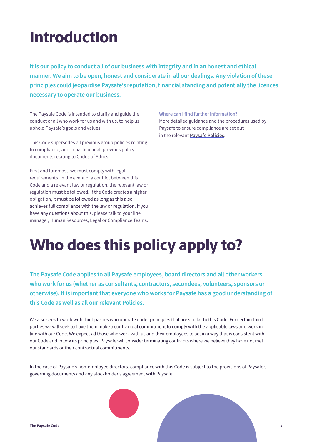### <span id="page-4-0"></span>**Introduction**

**It is our policy to conduct all of our business with integrity and in an honest and ethical manner. We aim to be open, honest and considerate in all our dealings. Any violation of these principles could jeopardise Paysafe's reputation, financial standing and potentially the licences necessary to operate our business.**

The Paysafe Code is intended to clarify and guide the conduct of all who work for us and with us, to help us uphold Paysafe's goals and values.

This Code supersedes all previous group policies relating to compliance, and in particular all previous policy documents relating to Codes of Ethics.

First and foremost, we must comply with legal requirements. In the event of a conflict between this Code and a relevant law or regulation, the relevant law or regulation must be followed. If the Code creates a higher obligation, it must be followed as long as this also achieves full compliance with the law or regulation. If you have any questions about this, please talk to your line manager, Human Resources, Legal or Compliance Teams. **Where can I find further information?** More detailed guidance and the procedures used by Paysafe to ensure compliance are set out in the relevant **Paysafe Policies**.

### **Who does this policy apply to?**

**The Paysafe Code applies to all Paysafe employees, board directors and all other workers who work for us (whether as consultants, contractors, secondees, volunteers, sponsors or otherwise). It is important that everyone who works for Paysafe has a good understanding of this Code as well as all our relevant Policies.**

We also seek to work with third parties who operate under principles that are similar to this Code. For certain third parties we will seek to have them make a contractual commitment to comply with the applicable laws and work in line with our Code. We expect all those who work with us and their employees to act in a way that is consistent with our Code and follow its principles. Paysafe will consider terminating contracts where we believe they have not met our standards or their contractual commitments.

In the case of Paysafe's non-employee directors, compliance with this Code is subject to the provisions of Paysafe's governing documents and any stockholder's agreement with Paysafe.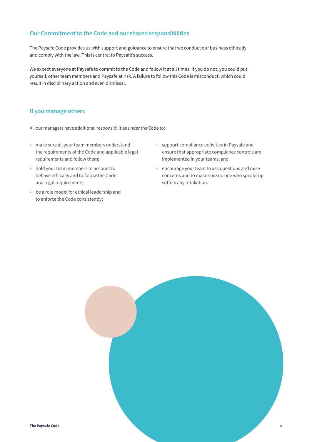#### **Our Commitment to the Code and our shared responsibilities**

The Paysafe Code provides us with support and guidance to ensure that we conduct our business ethically and comply with the law. This is central to Paysafe's success.

We expect everyone at Paysafe to commit to the Code and follow it at all times. If you do not, you could put yourself, other team members and Paysafe at risk. A failure to follow this Code is misconduct, which could result in disciplinary action and even dismissal.

#### **If you manage others**

All our managers have additional responsibilities under the Code to:

- make sure all your team members understand the requirements of the Code and applicable legal requirements and follow them;
- hold your team members to account to behave ethically and to follow the Code and legal requirements;
- be a role model for ethical leadership and to enforce the Code consistently;
- support compliance activities in Paysafe and ensure that appropriate compliance controls are implemented in your teams; and
- encourage your team to ask questions and raise concerns and to make sure no one who speaks up suffers any retaliation.

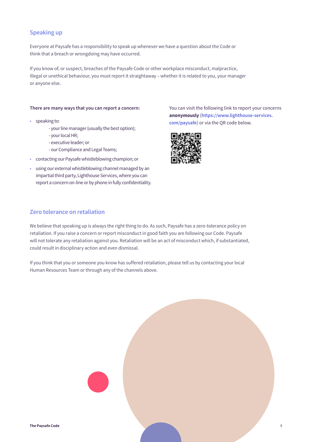#### **Speaking up**

Everyone at Paysafe has a responsibility to speak up whenever we have a question about the Code or think that a breach or wrongdoing may have occurred.

If you know of, or suspect, breaches of the Paysafe Code or other workplace misconduct, malpractice, illegal or unethical behaviour, you must report it straightaway – whether it is related to you, your manager or anyone else.

#### **There are many ways that you can report a concern:**

- speaking to:
	- your line manager (usually the best option);
	- your local HR;
	- executive leader; or
	- our Compliance and Legal Teams;
- contacting our Paysafe whistleblowing champion; or
- using our external whistleblowing channel managed by an impartial third party, Lighthouse Services, where you can report a concern on-line or by phone in fully confidentiality.

You can visit the following link to report your concerns **anonymously** (**https://www.lighthouse-services. com/paysaf[e](http://report.whistleb.com/Paysafe)**) or via the QR code below.



#### **Zero tolerance on retaliation**

We believe that speaking up is always the right thing to do. As such, Paysafe has a zero-tolerance policy on retaliation. If you raise a concern or report misconduct in good faith you are following our Code. Paysafe will not tolerate any retaliation against you. Retaliation will be an act of misconduct which, if substantiated, could result in disciplinary action and even dismissal.

If you think that you or someone you know has suffered retaliation, please tell us by contacting your local Human Resources Team or through any of the channels above.

|                         | <b>STAR</b> |                |
|-------------------------|-------------|----------------|
| <b>The Paysafe Code</b> |             | $\overline{7}$ |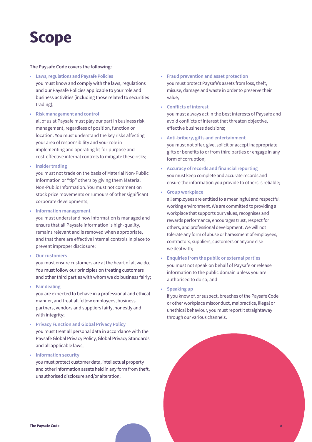### <span id="page-7-0"></span>**Scope**

#### **The Paysafe Code covers the following:**

- **Laws, regulations and Paysafe Policies** you must know and comply with the laws, regulations and our Paysafe Policies applicable to your role and business activities (including those related to securities trading);
- **• Risk management and control** all of us at Paysafe must play our part in business risk management, regardless of position, function or location. You must understand the key risks affecting your area of responsibility and your role in implementing and operating fit-for-purpose and cost-effective internal controls to mitigate these risks;
- **• Insider trading**

you must not trade on the basis of Material Non-Public Information or "tip" others by giving them Material Non-Public Information. You must not comment on stock price movements or rumours of other significant corporate developments;

**• Information management**

you must understand how information is managed and ensure that all Paysafe information is high-quality, remains relevant and is removed when appropriate, and that there are effective internal controls in place to prevent improper disclosure;

**• Our customers**

you must ensure customers are at the heart of all we do. You must follow our principles on treating customers and other third parties with whom we do business fairly;

**• Fair dealing**

you are expected to behave in a professional and ethical manner, and treat all fellow employees, business partners, vendors and suppliers fairly, honestly and with integrity;

• **Privacy Function and Global Privacy Policy** you must treat all personal data in accordance with the Paysafe Global Privacy Policy, Global Privacy Standards and all applicable laws;

• **Information security**

you must protect customer data, intellectual property and other information assets held in any form from theft, unauthorised disclosure and/or alteration;

- **• Fraud prevention and asset protection** you must protect Paysafe's assets from loss, theft, misuse, damage and waste in order to preserve their value;
- **• Conflicts of interest** you must always act in the best interests of Paysafe and avoid conflicts of interest that threaten objective, effective business decisions;
- **Anti-bribery, gifts and entertainment** you must not offer, give, solicit or accept inappropriate gifts or benefits to or from third parties or engage in any form of corruption;
- **• Accuracy of records and financial reporting** you must keep complete and accurate records and ensure the information you provide to others is reliable;
- **• Group workplace**

all employees are entitled to a meaningful and respectful working environment. We are committed to providing a workplace that supports our values, recognises and rewards performance, encourages trust, respect for others, and professional development. We will not tolerate any form of abuse or harassment of employees, contractors, suppliers, customers or anyone else we deal with;

- **• Enquiries from the public or external parties** you must not speak on behalf of Paysafe or release information to the public domain unless you are authorised to do so; and
- **• Speaking up**

if you know of, or suspect, breaches of the Paysafe Code or other workplace misconduct, malpractice, illegal or unethical behaviour, you must report it straightaway through our various channels.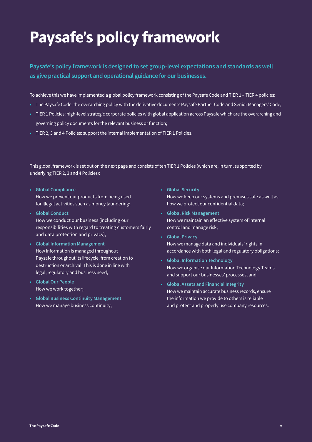### <span id="page-8-0"></span>**Paysafe's policy framework**

#### **Paysafe's policy framework is designed to set group-level expectations and standards as well as give practical support and operational guidance for our businesses.**

To achieve this we have implemented a global policy framework consisting of the Paysafe Code and TIER 1 – TIER 4 policies:

- The Paysafe Code: the overarching policy with the derivative documents Paysafe Partner Code and Senior Managers' Code;
- TIER 1 Policies: high-level strategic corporate policies with global application across Paysafe which are the overarching and governing policy documents for the relevant business or function;
- TIER 2, 3 and 4 Policies: support the internal implementation of TIER 1 Policies.

#### This global framework is set out on the next page and consists of ten TIER 1 Policies (which are, in turn, supported by underlying TIER 2, 3 and 4 Policies):

- **• Global Compliance** How we prevent our products from being used for illegal activities such as money laundering;
- **• Global Conduct** How we conduct our business (including our responsibilities with regard to treating customers fairly and data protection and privacy);
- **• Global Information Management**  How information is managed throughout Paysafe throughout its lifecycle, from creation to destruction or archival. This is done in line with legal, regulatory and business need;
- **• Global Our People** How we work together;
- **• Global Business Continuity Management** How we manage business continuity;
- **• Global Security** How we keep our systems and premises safe as well as how we protect our confidential data;
- **• Global Risk Management** How we maintain an effective system of internal control and manage risk;
- **• Global Privacy** How we manage data and individuals' rights in accordance with both legal and regulatory obligations;
- **• Global Information Technology** How we organise our Information Technology Teams and support our businesses' processes; and
- **• Global Assets and Financial Integrity** How we maintain accurate business records, ensure the information we provide to others is reliable and protect and properly use company resources.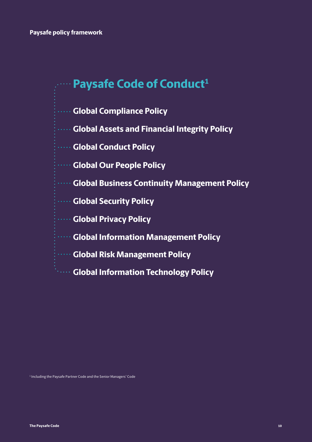### **Paysafe Code of Conduct<sup>1</sup>**

- **Global Compliance Policy**
- **Global Assets and Financial Integrity Policy**
- **Global Conduct Policy**
- **WORDER COURTS** POLICY
- **Global Business Continuity Management Policy**
- **Global Security Policy**
- **Global Privacy Policy**
- **Global Information Management Policy**
- **Global Risk Management Policy**
- **Global Information Technology Policy**

1 Including the Paysafe Partner Code and the Senior Managers' Code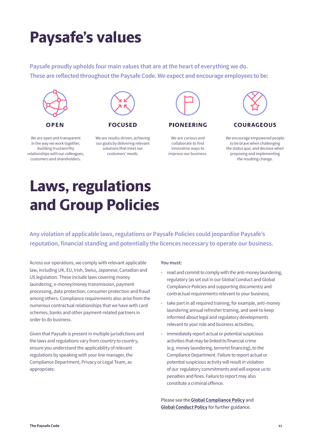### <span id="page-10-0"></span>**Paysafe's values**

**Paysafe proudly upholds four main values that are at the heart of everything we do. These are reflected throughout the Paysafe Code. We expect and encourage employees to be:**



**FOCUSED** 



**PIONEERING** 

We are curious and collaborate to find innovative ways to improve our business.



#### **COURAGEOUS**

We encourage empowered people to be brave when challenging the status quo, and decisive when proposing and implementing the resulting change.

#### We are open and transparent in the way we work together, building trustworthy relationships with our colleagues, customers and shareholders.



### **Laws, regulations and Group Policies**

**Any violation of applicable laws, regulations or Paysafe Policies could jeopardise Paysafe's reputation, financial standing and potentially the licences necessary to operate our business.**

Across our operations, we comply with relevant applicable law, including UK, EU, Irish, Swiss, Japanese, Canadian and US legislation. These include laws covering money laundering, e-money/money transmission, payment processing, data protection, consumer protection and fraud among others. Compliance requirements also arise from the numerous contractual relationships that we have with card schemes, banks and other payment-related partners in order to do business.

Given that Paysafe is present in multiple jurisdictions and the laws and regulations vary from country to country, ensure you understand the applicability of relevant regulations by speaking with your line manager, the Compliance Department, Privacy or Legal Team, as appropriate.

#### **You must:**

- read and commit to comply with the anti-money laundering, regulatory (as set out in our Global Conduct and Global Compliance Policies and supporting documents) and contractual requirements relevant to your business;
- take part in all required training, for example, anti-money laundering annual refresher training, and seek to keep informed about legal and regulatory developments relevant to your role and business activities;
- immediately report actual or potential suspicious activities that may be linked to financial crime (e.g. money laundering, terrorist financing), to the Compliance Department. Failure to report actual or potential suspicious activity will result in violation of our regulatory commitments and will expose us to penalties and fines. Failure to report may also constitute a criminal offence.

Please see the **Global Compliance Policy** and **Global Conduct Policy** for further guidance.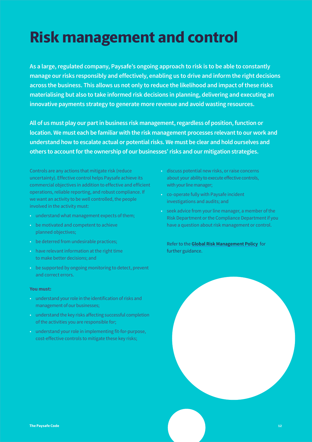### <span id="page-11-0"></span>**Risk management and control**

**As a large, regulated company, Paysafe's ongoing approach to risk is to be able to constantly manage our risks responsibly and effectively, enabling us to drive and inform the right decisions across the business. This allows us not only to reduce the likelihood and impact of these risks materialising but also to take informed risk decisions in planning, delivering and executing an innovative payments strategy to generate more revenue and avoid wasting resources.**

**All of us must play our part in business risk management, regardless of position, function or location. We must each be familiar with the risk management processes relevant to our work and understand how to escalate actual or potential risks. We must be clear and hold ourselves and others to account for the ownership of our businesses' risks and our mitigation strategies.**

Controls are any actions that mitigate risk (reduce uncertainty). Effective control helps Paysafe achieve its commercial objectives in addition to effective and efficient operations, reliable reporting, and robust compliance. If we want an activity to be well controlled, the people involved in the activity must:

- understand what management expects of them;
- be motivated and competent to achieve planned objectives;
- be deterred from undesirable practices;
- have relevant information at the right time to make better decisions; and
- be supported by ongoing monitoring to detect, prevent and correct errors.

#### **You must:**

- understand your role in the identification of risks and management of our businesses;
- understand the key risks affecting successful completion of the activities you are responsible for;
- understand your role in implementing fit-for-purpose, cost-effective controls to mitigate these key risks;
- discuss potential new risks, or raise concerns about your ability to execute effective controls, with your line manager;
- co-operate fully with Paysafe incident investigations and audits; and
- seek advice from your line manager, a member of the Risk Department or the Compliance Department if you have a question about risk management or control.

Refer to the **Global Risk Management Policy** for further guidance.

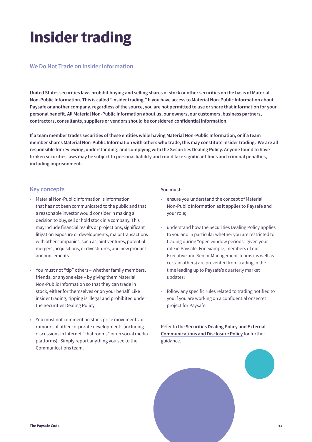### **Insider trading**

#### **We Do Not Trade on Insider Information**

**United States securities laws prohibit buying and selling shares of stock or other securities on the basis of Material Non-Public Information. This is called "insider trading." If you have access to Material Non-Public Information about Paysafe or another company, regardless of the source, you are not permitted to use or share that information for your personal benefit. All Material Non-Public Information about us, our owners, our customers, business partners, contractors, consultants, suppliers or vendors should be considered confidential information.**

**If a team member trades securities of these entities while having Material Non-Public Information, or if a team member shares Material Non-Public Information with others who trade, this may constitute insider trading. We are all responsible for reviewing, understanding, and complying with the Securities Dealing Policy. Anyone found to have broken securities laws may be subject to personal liability and could face significant fines and criminal penalties, including imprisonment.**

#### **Key concepts**

- Material Non-Public Information is information that has not been communicated to the public and that a reasonable investor would consider in making a decision to buy, sell or hold stock in a company. This may include financial results or projections, significant litigation exposure or developments, major transactions with other companies, such as joint ventures, potential mergers, acquisitions, or divestitures, and new product announcements.
- You must not "tip" others whether family members, friends, or anyone else – by giving them Material Non-Public Information so that they can trade in stock, either for themselves or on your behalf. Like insider trading, tipping is illegal and prohibited under the Securities Dealing Policy.
- You must not comment on stock price movements or rumours of other corporate developments (including discussions in Internet "chat rooms" or on social media platforms). Simply report anything you see to the Communications team.

#### **You must:**

- ensure you understand the concept of Material Non-Public Information as it applies to Paysafe and your role;
- understand how the Securities Dealing Policy applies to you and in particular whether you are restricted to trading during "open window periods" given your role in Paysafe. For example, members of our Executive and Senior Management Teams (as well as certain others) are prevented from trading in the time leading up to Paysafe's quarterly market updates;
- follow any specific rules related to trading notified to you if you are working on a confidential or secret project for Paysafe.

Refer to the **Securities Dealing Policy and External Communications and Disclosure Policy** for further guidance.

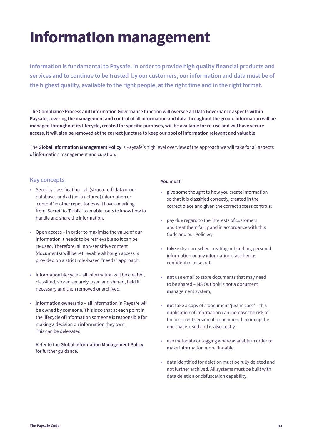### <span id="page-13-0"></span>**Information management**

**Information is fundamental to Paysafe. In order to provide high quality financial products and services and to continue to be trusted by our customers, our information and data must be of the highest quality, available to the right people, at the right time and in the right format.**

**The Compliance Process and Information Governance function will oversee all Data Governance aspects within Paysafe, covering the management and control of all information and data throughout the group. Information will be managed throughout its lifecycle, created for specific purposes, will be available for re-use and will have secure access. It will also be removed at the correct juncture to keep our pool of information relevant and valuable.**

The **Global Information Management Policy** is Paysafe's high level overview of the approach we will take for all aspects of information management and curation.

#### **Key concepts**

- Security classification all (structured) data in our databases and all (unstructured) information or 'content' in other repositories will have a marking from 'Secret' to 'Public' to enable users to know how to handle and share the information.
- Open access in order to maximise the value of our information it needs to be retrievable so it can be re-used. Therefore, all non-sensitive content (documents) will be retrievable although access is provided on a strict role-based "needs" approach.
- Information lifecycle all information will be created, classified, stored securely, used and shared, held if necessary and then removed or archived.
- Information ownership all information in Paysafe will be owned by someone. This is so that at each point in the lifecycle of information someone is responsible for making a decision on information they own. This can be delegated.

Refer to the **Global Information Management Policy** for further guidance.

- give some thought to how you create information so that it is classified correctly, created in the correct place and given the correct access controls;
- pay due regard to the interests of customers and treat them fairly and in accordance with this Code and our Policies;
- take extra care when creating or handling personal information or any information classified as confidential or secret;
- **• not** use email to store documents that may need to be shared – MS Outlook is not a document management system;
- **• not** take a copy of a document 'just in case' this duplication of information can increase the risk of the incorrect version of a document becoming the one that is used and is also costly;
- use metadata or tagging where available in order to make information more findable;
- data identified for deletion must be fully deleted and not further archived. All systems must be built with data deletion or obfuscation capability.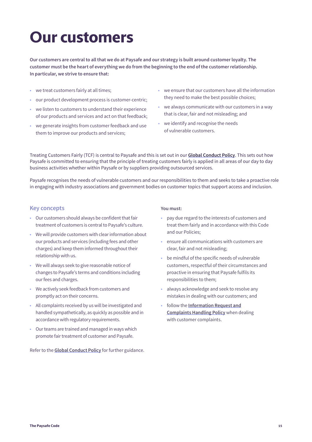### <span id="page-14-0"></span>**Our customers**

**Our customers are central to all that we do at Paysafe and our strategy is built around customer loyalty. The customer must be the heart of everything we do from the beginning to the end of the customer relationship. In particular, we strive to ensure that:**

- we treat customers fairly at all times;
- our product development process is customer-centric;
- we listen to customers to understand their experience of our products and services and act on that feedback;
- we generate insights from customer feedback and use them to improve our products and services;
- we ensure that our customers have all the information they need to make the best possible choices;
- we always communicate with our customers in a way that is clear, fair and not misleading; and
- we identify and recognise the needs of vulnerable customers.

Treating Customers Fairly (TCF) is central to Paysafe and this is set out in our **Global Conduct Policy**. This sets out how Paysafe is committed to ensuring that the principle of treating customers fairly is applied in all areas of our day to day business activities whether within Paysafe or by suppliers providing outsourced services.

Paysafe recognises the needs of vulnerable customers and our responsibilities to them and seeks to take a proactive role in engaging with industry associations and government bodies on customer topics that support access and inclusion.

#### **Key concepts**

- Our customers should always be confident that fair treatment of customers is central to Paysafe's culture.
- We will provide customers with clear information about our products and services (including fees and other charges) and keep them informed throughout their relationship with us.
- We will always seek to give reasonable notice of changes to Paysafe's terms and conditions including our fees and charges.
- We actively seek feedback from customers and promptly act on their concerns.
- All complaints received by us will be investigated and handled sympathetically, as quickly as possible and in accordance with regulatory requirements.
- Our teams are trained and managed in ways which promote fair treatment of customer and Paysafe.

Refer to the **Global Conduct Policy** for further guidance.

- pay due regard to the interests of customers and treat them fairly and in accordance with this Code and our Policies;
- ensure all communications with customers are clear, fair and not misleading;
- be mindful of the specific needs of vulnerable customers, respectful of their circumstances and proactive in ensuring that Paysafe fulfils its responsibilities to them;
- always acknowledge and seek to resolve any mistakes in dealing with our customers; and
- follow the **Information Request and Complaints Handling Policy** when dealing with customer complaints.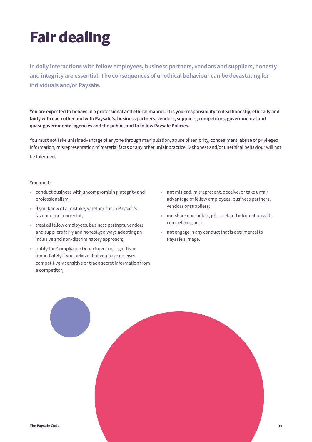## **Fair dealing**

**In daily interactions with fellow employees, business partners, vendors and suppliers, honesty and integrity are essential. The consequences of unethical behaviour can be devastating for individuals and/or Paysafe.**

**You are expected to behave in a professional and ethical manner. It is your responsibility to deal honestly, ethically and fairly with each other and with Paysafe's, business partners, vendors, suppliers, competitors, governmental and quasi-governmental agencies and the public, and to follow Paysafe Policies.**

You must not take unfair advantage of anyone through manipulation, abuse of seniority, concealment, abuse of privileged information, misrepresentation of material facts or any other unfair practice. Dishonest and/or unethical behaviour will not be tolerated.

- conduct business with uncompromising integrity and professionalism;
- if you know of a mistake, whether it is in Paysafe's favour or not correct it;
- treat all fellow employees, business partners, vendors and suppliers fairly and honestly; always adopting an inclusive and non-discriminatory approach;
- notify the Compliance Department or Legal Team immediately if you believe that you have received competitively sensitive or trade secret information from a competitor;
- **• not** mislead, misrepresent, deceive, or take unfair advantage of fellow employees, business partners, vendors or suppliers;
- **• not** share non-public, price-related information with competitors; and
- **• not** engage in any conduct that is detrimental to Paysafe's image.

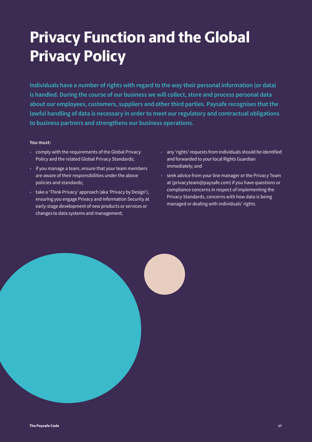### <span id="page-16-0"></span>**Privacy Function and the Global Privacy Policy**

**Individuals have a number of rights with regard to the way their personal information (or data) is handled. During the course of our business we will collect, store and process personal data about our employees, customers, suppliers and other third parties. Paysafe recognises that the lawful handling of data is necessary in order to meet our regulatory and contractual obligations to business partners and strengthens our business operations.** 

- comply with the requirements of the Global Privacy Policy and the related Global Privacy Standards;
- if you manage a team, ensure that your team members are aware of their responsibilities under the above policies and standards;
- take a 'Think Privacy' approach (aka 'Privacy by Design'), ensuring you engage Privacy and Information Security at early-stage development of new products or services or changes to data systems and management;
- any 'rights' requests from individuals should be identified and forwarded to your local Rights Guardian immediately; and
- seek advice from your line manager or the Privacy Team at (privacyteam@paysafe.com) if you have questions or compliance concerns in respect of implementing the Privacy Standards, concerns with how data is being managed or dealing with individuals' rights.

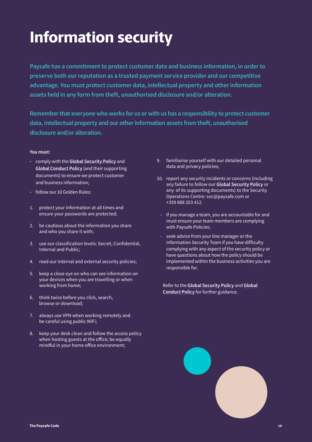### <span id="page-17-0"></span>**Information security**

**Paysafe has a commitment to protect customer data and business information, in order to preserve both our reputation as a trusted payment service provider and our competitive advantage. You must protect customer data, intellectual property and other information assets held in any form from theft, unauthorised disclosure and/or alteration.**

**Remember that everyone who works for us or with us has a responsibility to protect customer data, intellectual property and our other information assets from theft, unauthorised disclosure and/or alteration.**

#### **You must:**

- comply with the **Global Security Policy** and **Global Conduct Policy** (and their supporting documents) to ensure we protect customer and business information;
- follow our 10 Golden Rules:
- 1. protect your information at all times and ensure your passwords are protected;
- 2. be cautious about the information you share and who you share it with;
- 3. use our classification levels: Secret, Confidential, Internal and Public;
- 4. read our internal and external security policies;
- 5. keep a close eye on who can see information on your devices when you are travelling or when working from home;
- 6. think twice before you click, search, browse or download;
- 7. always use VPN when working remotely and be careful using public WiFi;
- 8. keep your desk clean and follow the access policy when hosting guests at the office; be equally mindful in your home office environment;
- 9. familiarise yourself with our detailed personal data and privacy policies;
- 10. report any security incidents or concerns (including any failure to follow our **Global Security Policy** or any of its supporting documents) to the Security Operations Centre: soc@paysafe.com or +359 888 203 412.
- if you manage a team, you are accountable for and must ensure your team members are complying with Paysafe Policies;
- seek advice from your line manager or the Information Security Team if you have difficulty complying with any aspect of the security policy or have questions about how the policy should be implemented within the business activities you are responsible for.

Refer to the **Global Security Policy** and **Global Conduct Policy** for further guidance.

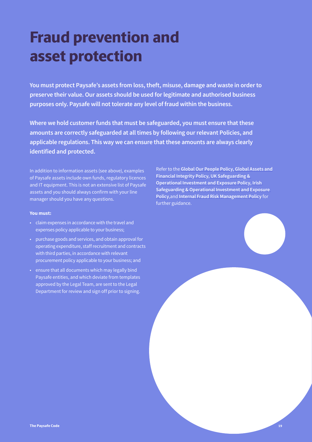### <span id="page-18-0"></span>**Fraud prevention and asset protection**

**You must protect Paysafe's assets from loss, theft, misuse, damage and waste in order to preserve their value. Our assets should be used for legitimate and authorised business purposes only. Paysafe will not tolerate any level of fraud within the business.** 

**Where we hold customer funds that must be safeguarded, you must ensure that these amounts are correctly safeguarded at all times by following our relevant Policies, and applicable regulations. This way we can ensure that these amounts are always clearly identified and protected.** 

In addition to information assets (see above), examples of Paysafe assets include own funds, regulatory licences and IT equipment. This is not an extensive list of Paysafe assets and you should always confirm with your line manager should you have any questions.

#### **You must:**

- claim expenses in accordance with the travel and expenses policy applicable to your business;
- purchase goods and services, and obtain approval for operating expenditure, staff recruitment and contracts with third parties, in accordance with relevant procurement policy applicable to your business; and
- ensure that all documents which may legally bind Paysafe entities, and which deviate from templates approved by the Legal Team, are sent to the Legal Department for review and sign off prior to signing.

Refer to the **Global Our People Policy, Global Assets and Financial Integrity Policy, UK Safeguarding & Operational Investment and Exposure Policy, Irish Safeguarding & Operational Investment and Exposure Policy**,and **Internal Fraud Risk Management Policy** for further guidance.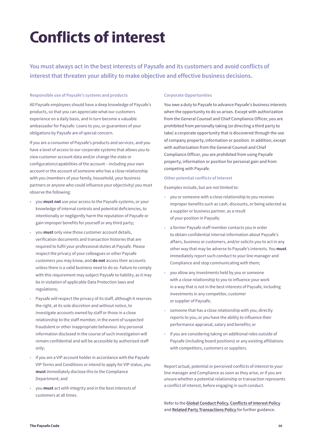### <span id="page-19-0"></span>**Conflicts of interest**

**You must always act in the best interests of Paysafe and its customers and avoid conflicts of interest that threaten your ability to make objective and effective business decisions.** 

#### **Responsible use of Paysafe's systems and products**

All Paysafe employees should have a deep knowledge of Paysafe's products, so that you can appreciate what our customers experience on a daily basis, and in turn become a valuable ambassador for Paysafe. Loans to you, or guarantees of your obligations by Paysafe are of special concern.

If you are a consumer of Paysafe's products and services, and you have a level of access to our corporate systems that allows you to view customer account data and/or change the state or configuration/capabilities of the account – including your own account or the account of someone who has a close relationship with you (members of your family, household, your business partners or anyone who could influence your objectivity) you must observe the following:

- **•** you **must not** use your access to the Paysafe systems, or your knowledge of internal controls and potential deficiencies, to intentionally or negligently harm the reputation of Paysafe or gain improper benefits for yourself or any third party;
- you **must** only view those customer account details, verification documents and transaction histories that are required to fulfil your professional duties at Paysafe. Please respect the privacy of your colleagues or other Paysafe customers you may know, and **do not** access their accounts unless there is a valid business need to do so. Failure to comply with this requirement may subject Paysafe to liability, as it may be in violation of applicable Data Protection laws and regulations;
- Paysafe will respect the privacy of its staff, although it reserves the right, at its sole discretion and without notice, to investigate accounts owned by staff or those in a close relationship to the staff member, in the event of suspected fraudulent or other inappropriate behaviour. Any personal information disclosed in the course of such investigation will remain confidential and will be accessible by authorised staff only;
- if you are a VIP account holder in accordance with the Paysafe VIP Terms and Conditions or intend to apply for VIP status, you **must** immediately disclose this to the Compliance Department; and
- you **must** act with integrity and in the best interests of customers at all times.

#### **Corporate Opportunities**

You owe a duty to Paysafe to advance Paysafe's business interests when the opportunity to do so arises. Except with authorization from the General Counsel and Chief Compliance Officer, you are prohibited from personally taking (or directing a third party to take) a corporate opportunity that is discovered through the use of company property, information or position. In addition, except with authorization from the General Counsel and Chief Compliance Officer, you are prohibited from using Paysafe property, information or position for personal gain and from competing with Paysafe.

#### **Other potential conflicts of interest**

Examples include, but are not limited to:

- you or someone with a close relationship to you receives improper benefits such as cash, discounts, or being selected as a supplier or business partner, as a result of your position in Paysafe;
- a former Paysafe staff member contacts you in order to obtain confidential internal information about Paysafe's affairs, business or customers, and/or solicits you to act in any other way that may be adverse to Paysafe's interests. You **must**  immediately report such conduct to your line manager and Compliance and stop communicating with them;
- you allow any investments held by you or someone with a close relationship to you to influence your work in a way that is not in the best interests of Paysafe, including investments in any competitor, customer or supplier of Paysafe;
- someone that has a close relationship with you, directly reports to you, or you have the ability to influence their performance appraisal, salary and benefits; or
- if you are considering taking on additional roles outside of Paysafe (including board positions) or any existing affiliations with competitors, customers or suppliers.

Report actual, potential or perceived conflicts of interest to your line manager and Compliance as soon as they arise, or if you are unsure whether a potential relationship or transaction represents a conflict of interest, before engaging in such conduct.

Refer to the **Global Conduct Policy**, **Conflicts of Interest Policy** and **Related Party Transactions Policy** for further guidance.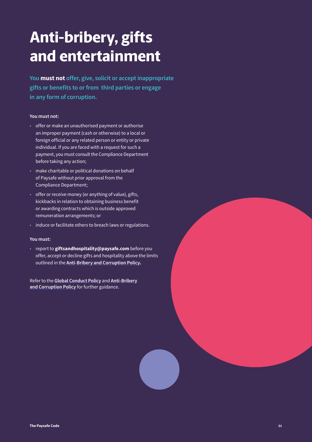### <span id="page-20-0"></span>**Anti-bribery, gifts and entertainment**

**You must not offer, give, solicit or accept inappropriate gifts or benefits to or from third parties or engage in any form of corruption.** 

#### **You must not:**

- offer or make an unauthorised payment or authorise an improper payment (cash or otherwise) to a local or foreign official or any related person or entity or private individual. If you are faced with a request for such a payment, you must consult the Compliance Department before taking any action;
- make charitable or political donations on behalf of Paysafe without prior approval from the Compliance Department;
- offer or receive money (or anything of value), gifts, kickbacks in relation to obtaining business benefit or awarding contracts which is outside approved remuneration arrangements; or
- induce or facilitate others to breach laws or regulations.

#### **You must:**

• report to **giftsandhospitality@paysafe.com** before you offer, accept or decline gifts and hospitality above the limits outlined in the **Anti-Bribery and Corruption Policy.**

Refer to the **Global Conduct Policy** and **Anti-Bribery and Corruption Policy** for further guidance.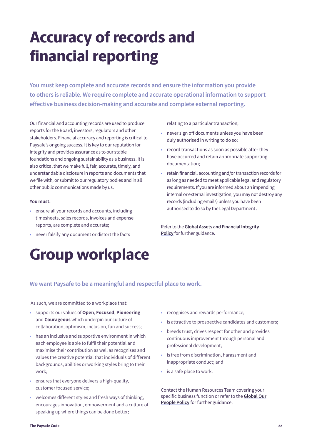### <span id="page-21-0"></span>**Accuracy of records and financial reporting**

**You must keep complete and accurate records and ensure the information you provide to others is reliable. We require complete and accurate operational information to support effective business decision-making and accurate and complete external reporting.**

Our financial and accounting records are used to produce reports for the Board, investors, regulators and other stakeholders. Financial accuracy and reporting is critical to Paysafe's ongoing success. It is key to our reputation for integrity and provides assurance as to our stable foundations and ongoing sustainability as a business. It is also critical that we make full, fair, accurate, timely, and understandable disclosure in reports and documents that we file with, or submit to our regulatory bodies and in all other public communications made by us.

#### **You must:**

- ensure all your records and accounts, including timesheets, sales records, invoices and expense reports, are complete and accurate;
- never falsify any document or distort the facts

### **Group workplace**

relating to a particular transaction;

- never sign off documents unless you have been duly authorised in writing to do so;
- record transactions as soon as possible after they have occurred and retain appropriate supporting documentation;
- retain financial, accounting and/or transaction records for as long as needed to meet applicable legal and regulatory requirements. If you are informed about an impending internal or external investigation, you may not destroy any records (including emails) unless you have been authorised to do so by the Legal Department .

Refer to the **Global Assets and Financial Integrity Policy** for further guidance.

#### **We want Paysafe to be a meaningful and respectful place to work.**

As such, we are committed to a workplace that:

- supports our values of **Open**, **Focused**, **Pioneering** and **Courageous** which underpin our culture of collaboration, optimism, inclusion, fun and success;
- has an inclusive and supportive environment in which each employee is able to fulfil their potential and maximise their contribution as well as recognises and values the creative potential that individuals of different backgrounds, abilities or working styles bring to their work;
- ensures that everyone delivers a high-quality, customer focused service;
- welcomes different styles and fresh ways of thinking, encourages innovation, empowerment and a culture of speaking up where things can be done better;
- recognises and rewards performance;
- is attractive to prospective candidates and customers;
- breeds trust, drives respect for other and provides continuous improvement through personal and professional development;
- is free from discrimination, harassment and inappropriate conduct; and
- is a safe place to work.

Contact the Human Resources Team covering your specific business function or refer to the **Global Our People Policy** for further guidance.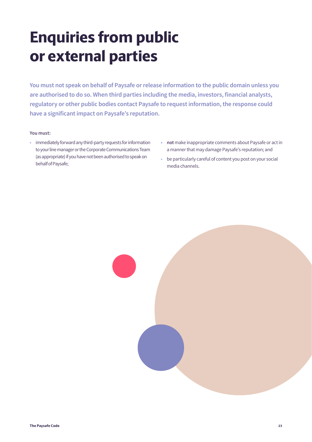### <span id="page-22-0"></span>**Enquiries from public or external parties**

**You must not speak on behalf of Paysafe or release information to the public domain unless you are authorised to do so. When third parties including the media, investors, financial analysts, regulatory or other public bodies contact Paysafe to request information, the response could have a significant impact on Paysafe's reputation.** 

- immediately forward any third-party requests for information to your line manager or the Corporate Communications Team (as appropriate) if you have not been authorised to speak on behalf of Paysafe;
- **• not** make inappropriate comments about Paysafe or act in a manner that may damage Paysafe's reputation; and
- be particularly careful of content you post on your social media channels.

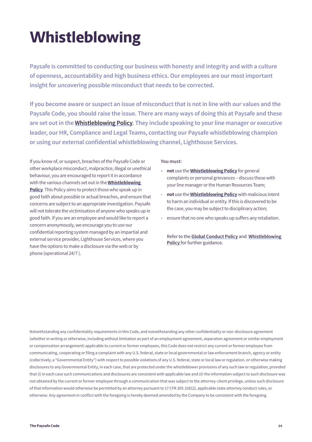### **Whistleblowing**

**Paysafe is committed to conducting our business with honesty and integrity and with a culture of openness, accountability and high business ethics. Our employees are our most important insight for uncovering possible misconduct that needs to be corrected.**

**If you become aware or suspect an issue of misconduct that is not in line with our values and the Paysafe Code, you should raise the issue. There are many ways of doing this at Paysafe and these are set out in the Whistleblowing Policy. They include speaking to your line manager or executive leader, our HR, Compliance and Legal Teams, contacting our Paysafe whistleblowing champion or using our external confidential whistleblowing channel, Lighthouse Services.** 

If you know of, or suspect, breaches of the Paysafe Code or other workplace misconduct, malpractice, illegal or unethical behaviour, you are encouraged to report it in accordance with the various channels set out in the **Whistleblowing Policy**. This Policy aims to protect those who speak up in good faith about possible or actual breaches, and ensure that concerns are subject to an appropriate investigation. Paysafe will not tolerate the victimisation of anyone who speaks up in good faith. If you are an employee and would like to report a concern anonymously, we encourage you to use our confidential reporting system managed by an impartial and external service provider, Lighthouse Services, where you have the options to make a disclosure via the web or by phone (operational 24/7 ).

#### **You must:**

- **• not** use the **Whistleblowing Policy** for general complaints or personal grievances – discuss these with your line manager or the Human Resources Team;
- **not** use the **Whistleblowing Policy** with malicious intent to harm an individual or entity. If this is discovered to be the case, you may be subject to disciplinary action;
- ensure that no one who speaks up suffers any retaliation.

Refer to the **Global Conduct Policy** and **Whistleblowing Policy** for further guidance.

Notwithstanding any confidentiality requirements in this Code, and notwithstanding any other confidentiality or non-disclosure agreement (whether in writing or otherwise, including without limitation as part of an employment agreement, separation agreement or similar employment or compensation arrangement) applicable to current or former employees, this Code does not restrict any current or former employee from communicating, cooperating or filing a complaint with any U.S. federal, state or local governmental or law enforcement branch, agency or entity (collectively, a "Governmental Entity") with respect to possible violations of any U.S. federal, state or local law or regulation, or otherwise making disclosures to any Governmental Entity, in each case, that are protected under the whistleblower provisions of any such law or regulation, provided that (i) in each case such communications and disclosures are consistent with applicable law and (ii) the information subject to such disclosure was not obtained by the current or former employee through a communication that was subject to the attorney-client privilege, unless such disclosure of that information would otherwise be permitted by an attorney pursuant to 17 CFR 205.3(d)(2), applicable state attorney conduct rules, or otherwise. Any agreement in conflict with the foregoing is hereby deemed amended by the Company to be consistent with the foregoing.